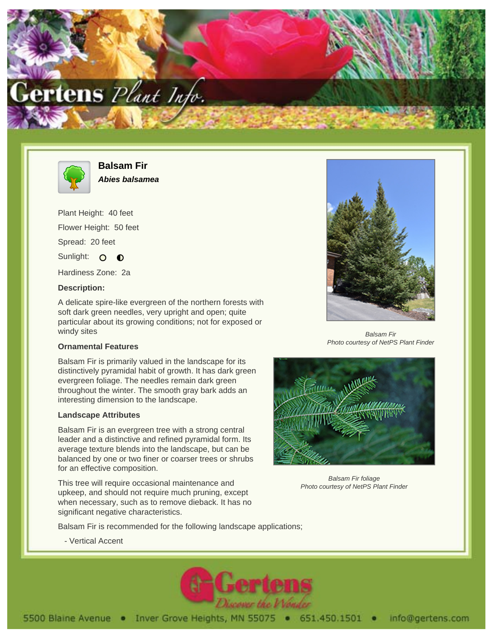



**Balsam Fir Abies balsamea**

Plant Height: 40 feet Flower Height: 50 feet Spread: 20 feet Sunlight: O O

Hardiness Zone: 2a

## **Description:**

A delicate spire-like evergreen of the northern forests with soft dark green needles, very upright and open; quite particular about its growing conditions; not for exposed or windy sites

## **Ornamental Features**

Balsam Fir is primarily valued in the landscape for its distinctively pyramidal habit of growth. It has dark green evergreen foliage. The needles remain dark green throughout the winter. The smooth gray bark adds an interesting dimension to the landscape.

## **Landscape Attributes**

Balsam Fir is an evergreen tree with a strong central leader and a distinctive and refined pyramidal form. Its average texture blends into the landscape, but can be balanced by one or two finer or coarser trees or shrubs for an effective composition.

This tree will require occasional maintenance and upkeep, and should not require much pruning, except when necessary, such as to remove dieback. It has no significant negative characteristics.



Balsam Fir Photo courtesy of NetPS Plant Finder



Balsam Fir foliage Photo courtesy of NetPS Plant Finder

Balsam Fir is recommended for the following landscape applications;

- Vertical Accent